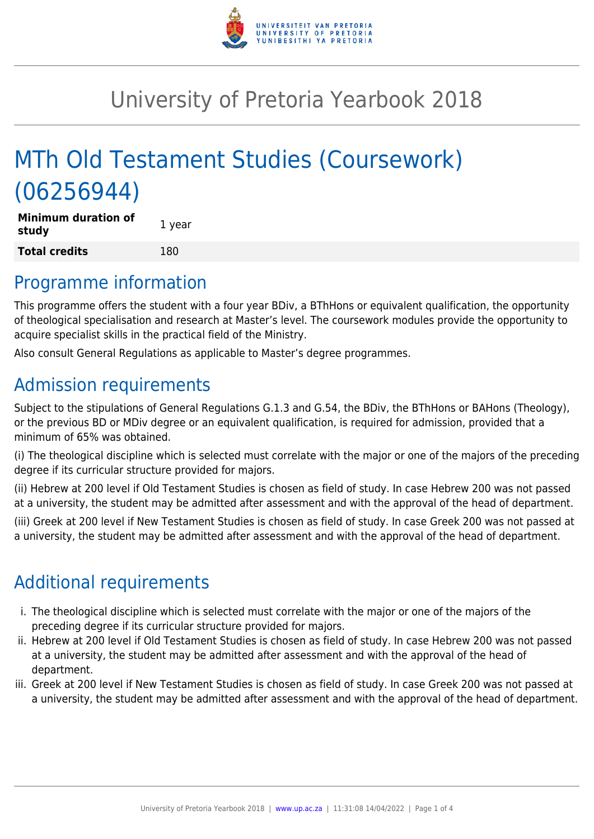

# University of Pretoria Yearbook 2018

# MTh Old Testament Studies (Coursework) (06256944)

| <b>Minimum duration of</b><br>study | 1 year |
|-------------------------------------|--------|
| <b>Total credits</b>                | 180    |

### Programme information

This programme offers the student with a four year BDiv, a BThHons or equivalent qualification, the opportunity of theological specialisation and research at Master's level. The coursework modules provide the opportunity to acquire specialist skills in the practical field of the Ministry.

Also consult General Regulations as applicable to Master's degree programmes.

# Admission requirements

Subject to the stipulations of General Regulations G.1.3 and G.54, the BDiv, the BThHons or BAHons (Theology), or the previous BD or MDiv degree or an equivalent qualification, is required for admission, provided that a minimum of 65% was obtained.

(i) The theological discipline which is selected must correlate with the major or one of the majors of the preceding degree if its curricular structure provided for majors.

(ii) Hebrew at 200 level if Old Testament Studies is chosen as field of study. In case Hebrew 200 was not passed at a university, the student may be admitted after assessment and with the approval of the head of department.

(iii) Greek at 200 level if New Testament Studies is chosen as field of study. In case Greek 200 was not passed at a university, the student may be admitted after assessment and with the approval of the head of department.

## Additional requirements

- i. The theological discipline which is selected must correlate with the major or one of the majors of the preceding degree if its curricular structure provided for majors.
- ii. Hebrew at 200 level if Old Testament Studies is chosen as field of study. In case Hebrew 200 was not passed at a university, the student may be admitted after assessment and with the approval of the head of department.
- iii. Greek at 200 level if New Testament Studies is chosen as field of study. In case Greek 200 was not passed at a university, the student may be admitted after assessment and with the approval of the head of department.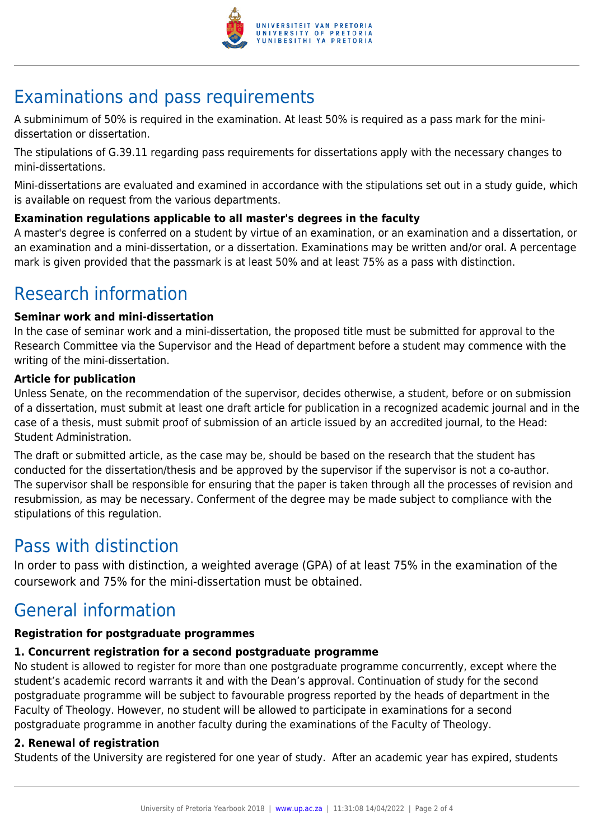

# Examinations and pass requirements

A subminimum of 50% is required in the examination. At least 50% is required as a pass mark for the minidissertation or dissertation.

The stipulations of G.39.11 regarding pass requirements for dissertations apply with the necessary changes to mini-dissertations.

Mini-dissertations are evaluated and examined in accordance with the stipulations set out in a study guide, which is available on request from the various departments.

#### **Examination regulations applicable to all master's degrees in the faculty**

A master's degree is conferred on a student by virtue of an examination, or an examination and a dissertation, or an examination and a mini-dissertation, or a dissertation. Examinations may be written and/or oral. A percentage mark is given provided that the passmark is at least 50% and at least 75% as a pass with distinction.

## Research information

#### **Seminar work and mini-dissertation**

In the case of seminar work and a mini-dissertation, the proposed title must be submitted for approval to the Research Committee via the Supervisor and the Head of department before a student may commence with the writing of the mini-dissertation.

#### **Article for publication**

Unless Senate, on the recommendation of the supervisor, decides otherwise, a student, before or on submission of a dissertation, must submit at least one draft article for publication in a recognized academic journal and in the case of a thesis, must submit proof of submission of an article issued by an accredited journal, to the Head: Student Administration.

The draft or submitted article, as the case may be, should be based on the research that the student has conducted for the dissertation/thesis and be approved by the supervisor if the supervisor is not a co-author. The supervisor shall be responsible for ensuring that the paper is taken through all the processes of revision and resubmission, as may be necessary. Conferment of the degree may be made subject to compliance with the stipulations of this regulation.

### Pass with distinction

In order to pass with distinction, a weighted average (GPA) of at least 75% in the examination of the coursework and 75% for the mini-dissertation must be obtained.

### General information

#### **Registration for postgraduate programmes**

#### **1. Concurrent registration for a second postgraduate programme**

No student is allowed to register for more than one postgraduate programme concurrently, except where the student's academic record warrants it and with the Dean's approval. Continuation of study for the second postgraduate programme will be subject to favourable progress reported by the heads of department in the Faculty of Theology. However, no student will be allowed to participate in examinations for a second postgraduate programme in another faculty during the examinations of the Faculty of Theology.

#### **2. Renewal of registration**

Students of the University are registered for one year of study. After an academic year has expired, students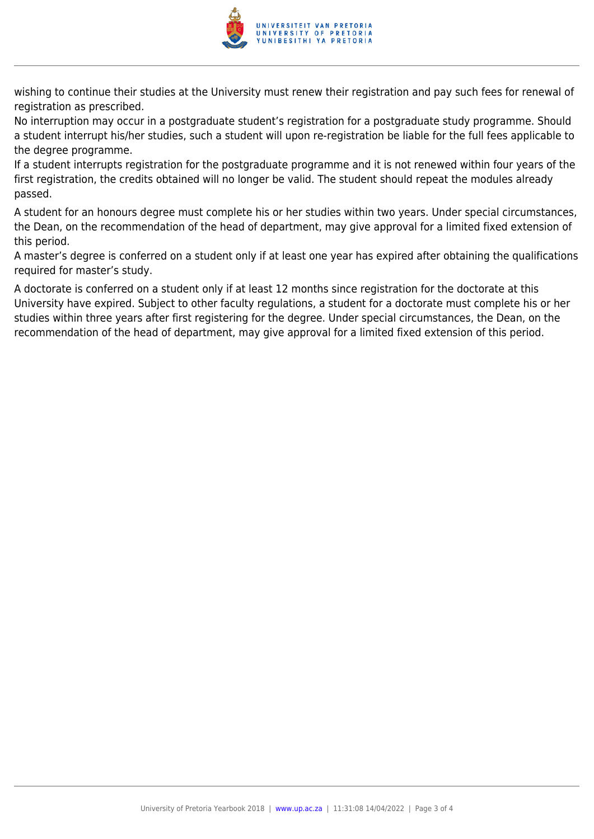

wishing to continue their studies at the University must renew their registration and pay such fees for renewal of registration as prescribed.

No interruption may occur in a postgraduate student's registration for a postgraduate study programme. Should a student interrupt his/her studies, such a student will upon re-registration be liable for the full fees applicable to the degree programme.

If a student interrupts registration for the postgraduate programme and it is not renewed within four years of the first registration, the credits obtained will no longer be valid. The student should repeat the modules already passed.

A student for an honours degree must complete his or her studies within two years. Under special circumstances, the Dean, on the recommendation of the head of department, may give approval for a limited fixed extension of this period.

A master's degree is conferred on a student only if at least one year has expired after obtaining the qualifications required for master's study.

A doctorate is conferred on a student only if at least 12 months since registration for the doctorate at this University have expired. Subject to other faculty regulations, a student for a doctorate must complete his or her studies within three years after first registering for the degree. Under special circumstances, the Dean, on the recommendation of the head of department, may give approval for a limited fixed extension of this period.